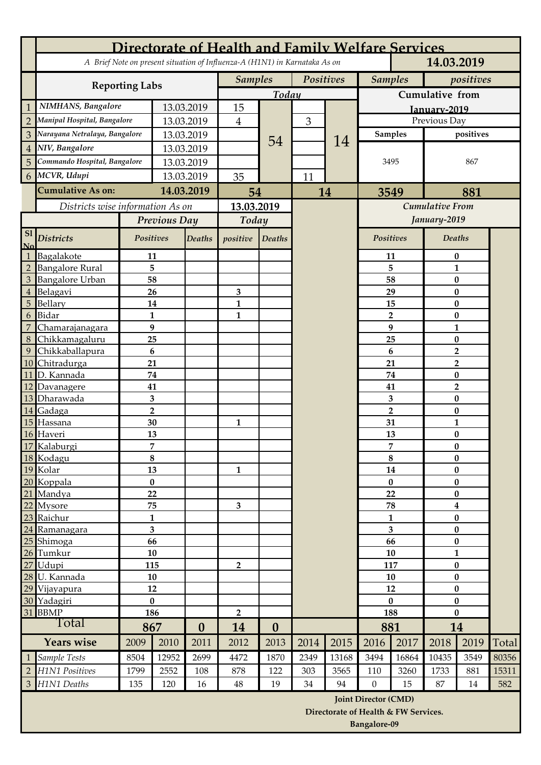| Directorate of Health and Family Welfare Services |                               |                                                                            |                     |                  |                |                  |              |                                      |                             |           |                                     |                          |       |
|---------------------------------------------------|-------------------------------|----------------------------------------------------------------------------|---------------------|------------------|----------------|------------------|--------------|--------------------------------------|-----------------------------|-----------|-------------------------------------|--------------------------|-------|
|                                                   |                               | A Brief Note on present situation of Influenza-A (H1N1) in Karnataka As on |                     |                  |                | 14.03.2019       |              |                                      |                             |           |                                     |                          |       |
|                                                   | <b>Reporting Labs</b>         |                                                                            |                     | <b>Samples</b>   |                | Positives        |              | <b>Samples</b>                       |                             | positives |                                     |                          |       |
|                                                   |                               |                                                                            |                     | Today            |                |                  |              | Cumulative from                      |                             |           |                                     |                          |       |
|                                                   | NIMHANS, Bangalore            |                                                                            | 13.03.2019          |                  | 15             |                  |              |                                      |                             |           |                                     | Ianuary-2019             |       |
| $\overline{2}$                                    | Manipal Hospital, Bangalore   |                                                                            | 13.03.2019          |                  | $\overline{4}$ |                  | 3            |                                      |                             |           |                                     | Previous Day             |       |
| 3                                                 | Narayana Netralaya, Bangalore |                                                                            | 13.03.2019          |                  |                | 54               |              | 14                                   | Samples                     |           | positives                           |                          |       |
| $\overline{4}$                                    | NIV, Bangalore                |                                                                            | 13.03.2019          |                  |                |                  |              |                                      | 3495                        |           |                                     |                          |       |
| 5                                                 | Commando Hospital, Bangalore  |                                                                            | 13.03.2019          |                  |                |                  |              |                                      |                             |           |                                     | 867                      |       |
| 6 <sup>1</sup>                                    | MCVR, Udupi                   |                                                                            | 13.03.2019          |                  | 35             |                  | 11           |                                      |                             |           |                                     |                          |       |
|                                                   | <b>Cumulative As on:</b>      |                                                                            |                     | 14.03.2019       | 54             |                  |              | 14                                   | 3549                        |           | 881                                 |                          |       |
| Districts wise information As on                  |                               |                                                                            |                     |                  | 13.03.2019     |                  |              |                                      | <b>Cumulative From</b>      |           |                                     |                          |       |
|                                                   |                               | Previous Day                                                               |                     |                  | Today          |                  |              |                                      |                             |           | January-2019                        |                          |       |
| <b>Sl</b><br>$\mathbf{N}\mathbf{0}$               | <b>Districts</b>              | Positives                                                                  |                     | <b>Deaths</b>    | positive       | <b>Deaths</b>    |              |                                      | Positives                   |           | <b>Deaths</b>                       |                          |       |
|                                                   | Bagalakote                    | 11                                                                         |                     |                  |                |                  |              |                                      | 11                          |           | 0                                   |                          |       |
| $\overline{2}$                                    | <b>Bangalore Rural</b>        | 5                                                                          |                     |                  |                |                  |              |                                      | 5                           |           | $\mathbf{1}$                        |                          |       |
| $\overline{3}$                                    | <b>Bangalore Urban</b>        |                                                                            | 58                  |                  |                |                  |              |                                      |                             | 58        |                                     | $\bf{0}$                 |       |
| $\overline{4}$                                    | Belagavi                      |                                                                            | 26                  |                  | 3              |                  |              |                                      | 29<br>15                    |           | $\bf{0}$                            |                          |       |
| $\overline{5}$<br>6                               | Bellary<br><b>Bidar</b>       |                                                                            | 14<br>$\mathbf{1}$  |                  | 1<br>1         |                  |              |                                      | $\overline{2}$              |           | 0<br>$\bf{0}$                       |                          |       |
| $\overline{7}$                                    | Chamarajanagara               |                                                                            | 9                   |                  |                |                  |              |                                      |                             | 9         | $\mathbf{1}$                        |                          |       |
| 8                                                 | Chikkamagaluru                | 25                                                                         |                     |                  |                |                  |              |                                      |                             | 25        | $\bf{0}$                            |                          |       |
| $\overline{9}$                                    | Chikkaballapura               | 6                                                                          |                     |                  |                |                  |              |                                      | 6                           |           | $\overline{\mathbf{2}}$             |                          |       |
| 10                                                | Chitradurga                   | 21                                                                         |                     |                  |                |                  |              |                                      | 21                          |           | $\overline{2}$                      |                          |       |
| 11                                                | D. Kannada                    | 74                                                                         |                     |                  |                |                  |              |                                      |                             | 74        |                                     | $\bf{0}$                 |       |
| 12                                                | Davanagere                    | 41                                                                         |                     |                  |                |                  |              |                                      | 41                          |           | $\overline{2}$                      |                          |       |
|                                                   | 13 Dharawada                  |                                                                            | 3<br>$\overline{2}$ |                  |                |                  |              |                                      | 3<br>$\overline{2}$         |           | $\bf{0}$                            |                          |       |
| 14<br>15                                          | Gadaga<br>Hassana             |                                                                            | 30                  |                  | $\mathbf{1}$   |                  |              |                                      |                             | 31        |                                     | $\bf{0}$<br>$\mathbf{1}$ |       |
| 16                                                | Haveri                        |                                                                            | 13                  |                  |                |                  |              |                                      |                             | 13        |                                     | $\bf{0}$                 |       |
|                                                   | 17 Kalaburgi                  |                                                                            | 7                   |                  |                |                  |              |                                      | 7                           |           | $\bf{0}$                            |                          |       |
|                                                   | 18 Kodagu                     |                                                                            | 8                   |                  |                |                  |              |                                      | 8                           |           | $\bf{0}$                            |                          |       |
|                                                   | 19 Kolar                      |                                                                            | 13                  |                  | $\mathbf{1}$   |                  |              |                                      | 14                          |           | 0                                   |                          |       |
|                                                   | 20 Koppala                    |                                                                            | $\pmb{0}$           |                  |                |                  |              |                                      | $\bf{0}$                    |           | $\bf{0}$                            |                          |       |
|                                                   | 21 Mandya                     |                                                                            | 22                  |                  |                |                  |              |                                      | 22                          |           | $\bf{0}$                            |                          |       |
|                                                   | 22 Mysore<br>23 Raichur       | 75<br>$\mathbf{1}$                                                         |                     |                  | 3              |                  |              |                                      | 78<br>1                     |           | $\overline{\mathbf{4}}$<br>$\bf{0}$ |                          |       |
|                                                   | 24 Ramanagara                 |                                                                            | 3                   |                  |                |                  |              |                                      |                             | 3         |                                     | $\bf{0}$                 |       |
|                                                   | 25 Shimoga                    |                                                                            | 66                  |                  |                |                  |              |                                      |                             | 66        | 0                                   |                          |       |
|                                                   | 26 Tumkur                     | 10                                                                         |                     |                  |                |                  |              |                                      |                             | 10        | $\mathbf{1}$                        |                          |       |
| $27\,$                                            | Udupi                         | 115                                                                        |                     |                  | 2              |                  |              |                                      | 117                         |           | $\bf{0}$                            |                          |       |
|                                                   | 28 U. Kannada                 | 10                                                                         |                     |                  |                |                  |              |                                      | 10                          |           | $\bf{0}$                            |                          |       |
| 29                                                | Vijayapura                    | 12                                                                         |                     |                  |                |                  |              |                                      | 12                          |           | $\bf{0}$                            |                          |       |
| 31                                                | 30 Yadagiri<br><b>BBMP</b>    | $\bf{0}$<br>186                                                            |                     |                  |                |                  |              |                                      | $\bf{0}$<br>188             |           | $\bf{0}$<br>$\bf{0}$                |                          |       |
|                                                   | Total                         |                                                                            |                     |                  | $\overline{2}$ |                  |              |                                      | 881                         |           | 14                                  |                          |       |
| <b>Years wise</b>                                 |                               | 867<br>2009<br>2010                                                        |                     | $\bf{0}$<br>2011 | 14<br>2012     | $\bf{0}$<br>2013 | 2014<br>2015 |                                      | 2016                        | 2017      | 2018                                | 2019                     | Total |
| 1                                                 | Sample Tests                  | 8504                                                                       | 12952               | 2699             | 4472           | 1870             | 2349         | 13168                                | 3494                        | 16864     | 10435                               | 3549                     | 80356 |
| $\overline{2}$                                    | H1N1 Positives                | 1799                                                                       | 2552                | 108              | 878            | 122              | 303          | 3565                                 | 110                         | 3260      | 1733                                | 881                      | 15311 |
| $\overline{3}$                                    | H1N1 Deaths                   | 135                                                                        | 120                 | 16               | 48             | 19               | 34           | 94                                   | $\overline{0}$              | 15        | 87                                  | 14                       | 582   |
|                                                   |                               |                                                                            |                     |                  |                |                  |              |                                      | <b>Joint Director (CMD)</b> |           |                                     |                          |       |
|                                                   |                               |                                                                            |                     |                  |                |                  |              | Directorate of Health & FW Services. |                             |           |                                     |                          |       |
|                                                   |                               |                                                                            |                     |                  |                |                  |              |                                      | <b>Bangalore-09</b>         |           |                                     |                          |       |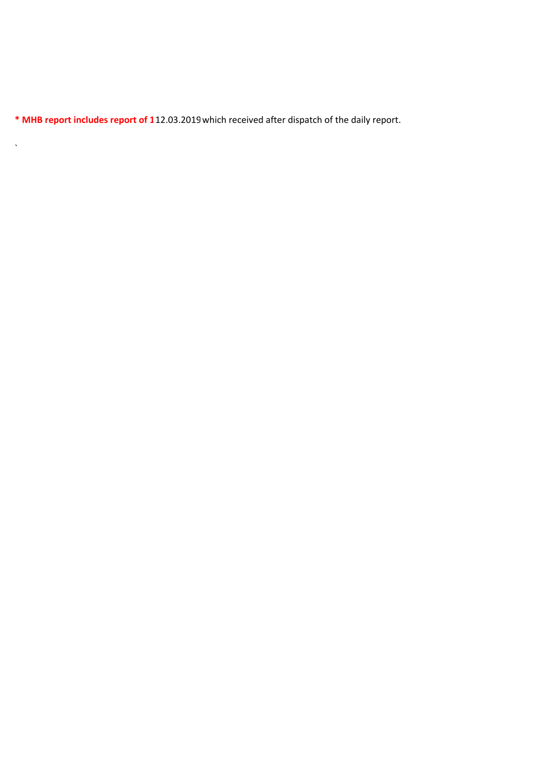\* MHB report includes report of 112.03.2019 which received after dispatch of the daily report.

 $\mathbf{v}^{\dagger}$